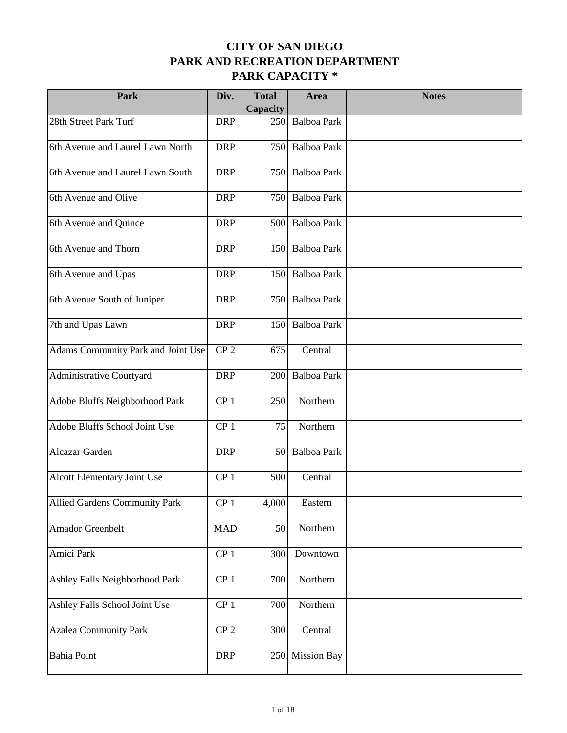| Park                               | Div.            | <b>Total</b><br>Capacity | Area               | <b>Notes</b> |
|------------------------------------|-----------------|--------------------------|--------------------|--------------|
| 28th Street Park Turf              | <b>DRP</b>      | 250                      | <b>Balboa Park</b> |              |
| 6th Avenue and Laurel Lawn North   | <b>DRP</b>      | 750                      | <b>Balboa Park</b> |              |
| 6th Avenue and Laurel Lawn South   | <b>DRP</b>      | 750                      | <b>Balboa Park</b> |              |
| 6th Avenue and Olive               | <b>DRP</b>      | 750                      | <b>Balboa Park</b> |              |
| 6th Avenue and Quince              | <b>DRP</b>      | 500                      | <b>Balboa Park</b> |              |
| 6th Avenue and Thorn               | <b>DRP</b>      | 150                      | Balboa Park        |              |
| 6th Avenue and Upas                | <b>DRP</b>      | 150                      | <b>Balboa Park</b> |              |
| 6th Avenue South of Juniper        | <b>DRP</b>      | 750                      | <b>Balboa Park</b> |              |
| 7th and Upas Lawn                  | <b>DRP</b>      | 150                      | Balboa Park        |              |
| Adams Community Park and Joint Use | CP <sub>2</sub> | 675                      | Central            |              |
| Administrative Courtyard           | <b>DRP</b>      | 200                      | <b>Balboa Park</b> |              |
| Adobe Bluffs Neighborhood Park     | CP <sub>1</sub> | 250                      | Northern           |              |
| Adobe Bluffs School Joint Use      | CP <sub>1</sub> | 75                       | Northern           |              |
| Alcazar Garden                     | <b>DRP</b>      | 50                       | <b>Balboa Park</b> |              |
| Alcott Elementary Joint Use        | CP <sub>1</sub> | 500                      | Central            |              |
| Allied Gardens Community Park      | CP <sub>1</sub> | 4,000                    | Eastern            |              |
| Amador Greenbelt                   | <b>MAD</b>      | 50                       | Northern           |              |
| Amici Park                         | CP <sub>1</sub> | 300                      | Downtown           |              |
| Ashley Falls Neighborhood Park     | CP <sub>1</sub> | 700                      | Northern           |              |
| Ashley Falls School Joint Use      | CP <sub>1</sub> | 700                      | Northern           |              |
| <b>Azalea Community Park</b>       | CP <sub>2</sub> | 300                      | Central            |              |
| <b>Bahia Point</b>                 | <b>DRP</b>      | 250                      | <b>Mission Bay</b> |              |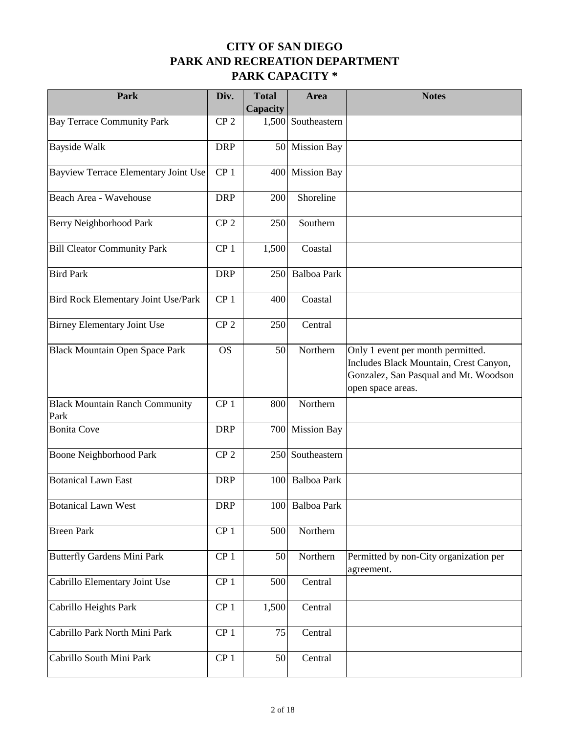| Park                                          | Div.            | <b>Total</b><br>Capacity | Area               | <b>Notes</b>                                                                                                                              |
|-----------------------------------------------|-----------------|--------------------------|--------------------|-------------------------------------------------------------------------------------------------------------------------------------------|
| <b>Bay Terrace Community Park</b>             | CP <sub>2</sub> | 1,500                    | Southeastern       |                                                                                                                                           |
| <b>Bayside Walk</b>                           | <b>DRP</b>      | 50                       | <b>Mission Bay</b> |                                                                                                                                           |
| Bayview Terrace Elementary Joint Use          | CP <sub>1</sub> | 400                      | <b>Mission Bay</b> |                                                                                                                                           |
| Beach Area - Wavehouse                        | <b>DRP</b>      | 200                      | Shoreline          |                                                                                                                                           |
| Berry Neighborhood Park                       | CP <sub>2</sub> | 250                      | Southern           |                                                                                                                                           |
| <b>Bill Cleator Community Park</b>            | CP <sub>1</sub> | 1,500                    | Coastal            |                                                                                                                                           |
| <b>Bird Park</b>                              | <b>DRP</b>      | 250                      | <b>Balboa Park</b> |                                                                                                                                           |
| Bird Rock Elementary Joint Use/Park           | CP <sub>1</sub> | 400                      | Coastal            |                                                                                                                                           |
| <b>Birney Elementary Joint Use</b>            | CP <sub>2</sub> | 250                      | Central            |                                                                                                                                           |
| <b>Black Mountain Open Space Park</b>         | <b>OS</b>       | 50                       | Northern           | Only 1 event per month permitted.<br>Includes Black Mountain, Crest Canyon,<br>Gonzalez, San Pasqual and Mt. Woodson<br>open space areas. |
| <b>Black Mountain Ranch Community</b><br>Park | CP <sub>1</sub> | 800                      | Northern           |                                                                                                                                           |
| <b>Bonita</b> Cove                            | <b>DRP</b>      | 700                      | <b>Mission Bay</b> |                                                                                                                                           |
| Boone Neighborhood Park                       | CP <sub>2</sub> | 250                      | Southeastern       |                                                                                                                                           |
| <b>Botanical Lawn East</b>                    | <b>DRP</b>      | 100                      | <b>Balboa Park</b> |                                                                                                                                           |
| <b>Botanical Lawn West</b>                    | <b>DRP</b>      |                          | 100 Balboa Park    |                                                                                                                                           |
| <b>Breen Park</b>                             | CP <sub>1</sub> | 500                      | Northern           |                                                                                                                                           |
| <b>Butterfly Gardens Mini Park</b>            | CP <sub>1</sub> | 50                       | Northern           | Permitted by non-City organization per<br>agreement.                                                                                      |
| Cabrillo Elementary Joint Use                 | CP <sub>1</sub> | 500                      | Central            |                                                                                                                                           |
| Cabrillo Heights Park                         | CP <sub>1</sub> | 1,500                    | Central            |                                                                                                                                           |
| Cabrillo Park North Mini Park                 | CP <sub>1</sub> | 75                       | Central            |                                                                                                                                           |
| Cabrillo South Mini Park                      | CP <sub>1</sub> | 50                       | Central            |                                                                                                                                           |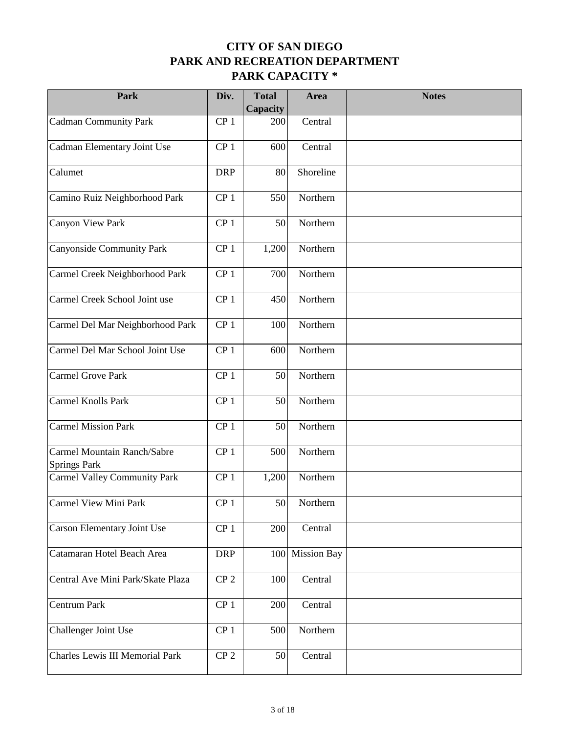| Park                                               | Div.            | <b>Total</b><br>Capacity | Area               | <b>Notes</b> |
|----------------------------------------------------|-----------------|--------------------------|--------------------|--------------|
| Cadman Community Park                              | CP <sub>1</sub> | 200                      | Central            |              |
| Cadman Elementary Joint Use                        | CP <sub>1</sub> | 600                      | Central            |              |
| Calumet                                            | <b>DRP</b>      | 80                       | Shoreline          |              |
| Camino Ruiz Neighborhood Park                      | CP <sub>1</sub> | 550                      | Northern           |              |
| Canyon View Park                                   | CP <sub>1</sub> | 50                       | Northern           |              |
| Canyonside Community Park                          | CP <sub>1</sub> | 1,200                    | Northern           |              |
| Carmel Creek Neighborhood Park                     | CP <sub>1</sub> | 700                      | Northern           |              |
| Carmel Creek School Joint use                      | CP <sub>1</sub> | 450                      | Northern           |              |
| Carmel Del Mar Neighborhood Park                   | CP <sub>1</sub> | 100                      | Northern           |              |
| Carmel Del Mar School Joint Use                    | CP <sub>1</sub> | 600                      | Northern           |              |
| Carmel Grove Park                                  | CP <sub>1</sub> | 50                       | Northern           |              |
| Carmel Knolls Park                                 | CP <sub>1</sub> | 50                       | Northern           |              |
| <b>Carmel Mission Park</b>                         | CP <sub>1</sub> | 50                       | Northern           |              |
| Carmel Mountain Ranch/Sabre<br><b>Springs Park</b> | CP <sub>1</sub> | 500                      | Northern           |              |
| Carmel Valley Community Park                       | CP <sub>1</sub> | 1,200                    | Northern           |              |
| Carmel View Mini Park                              | CP <sub>1</sub> | 50                       | Northern           |              |
| Carson Elementary Joint Use                        | CP <sub>1</sub> | 200                      | Central            |              |
| Catamaran Hotel Beach Area                         | <b>DRP</b>      | 100                      | <b>Mission Bay</b> |              |
| Central Ave Mini Park/Skate Plaza                  | CP <sub>2</sub> | 100                      | Central            |              |
| Centrum Park                                       | CP <sub>1</sub> | 200                      | Central            |              |
| Challenger Joint Use                               | CP <sub>1</sub> | 500                      | Northern           |              |
| Charles Lewis III Memorial Park                    | CP <sub>2</sub> | 50                       | Central            |              |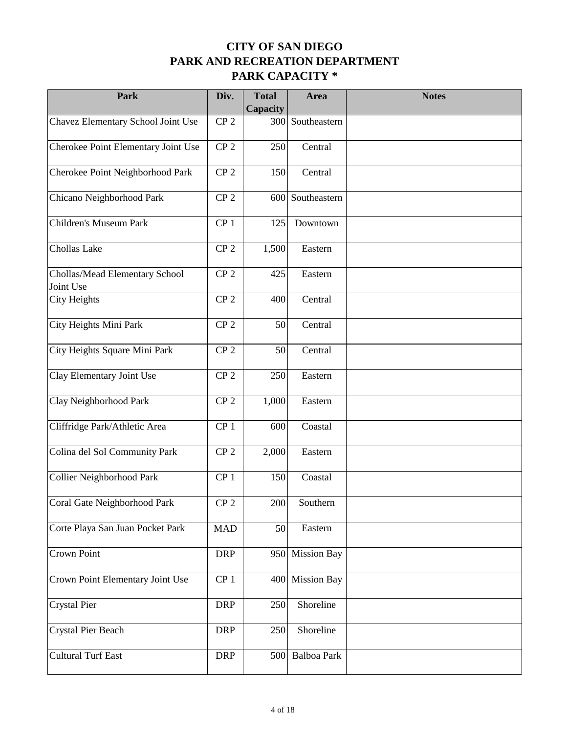| Park                                        | Div.            | <b>Total</b><br>Capacity | Area               | <b>Notes</b> |
|---------------------------------------------|-----------------|--------------------------|--------------------|--------------|
| Chavez Elementary School Joint Use          | CP <sub>2</sub> | 300                      | Southeastern       |              |
| Cherokee Point Elementary Joint Use         | CP <sub>2</sub> | 250                      | Central            |              |
| Cherokee Point Neighborhood Park            | CP <sub>2</sub> | 150                      | Central            |              |
| Chicano Neighborhood Park                   | CP <sub>2</sub> | 600                      | Southeastern       |              |
| Children's Museum Park                      | CP <sub>1</sub> | 125                      | Downtown           |              |
| Chollas Lake                                | CP <sub>2</sub> | 1,500                    | Eastern            |              |
| Chollas/Mead Elementary School<br>Joint Use | CP <sub>2</sub> | 425                      | Eastern            |              |
| <b>City Heights</b>                         | CP <sub>2</sub> | 400                      | Central            |              |
| City Heights Mini Park                      | CP <sub>2</sub> | 50                       | Central            |              |
| City Heights Square Mini Park               | CP <sub>2</sub> | 50                       | Central            |              |
| Clay Elementary Joint Use                   | CP <sub>2</sub> | 250                      | Eastern            |              |
| Clay Neighborhood Park                      | CP <sub>2</sub> | 1,000                    | Eastern            |              |
| Cliffridge Park/Athletic Area               | CP <sub>1</sub> | 600                      | Coastal            |              |
| Colina del Sol Community Park               | CP <sub>2</sub> | 2,000                    | Eastern            |              |
| Collier Neighborhood Park                   | CP <sub>1</sub> | 150                      | Coastal            |              |
| Coral Gate Neighborhood Park                | CP <sub>2</sub> | 200                      | Southern           |              |
| Corte Playa San Juan Pocket Park            | <b>MAD</b>      | 50                       | Eastern            |              |
| Crown Point                                 | <b>DRP</b>      | 950                      | <b>Mission Bay</b> |              |
| Crown Point Elementary Joint Use            | CP <sub>1</sub> | 400                      | <b>Mission Bay</b> |              |
| Crystal Pier                                | <b>DRP</b>      | 250                      | Shoreline          |              |
| Crystal Pier Beach                          | <b>DRP</b>      | 250                      | Shoreline          |              |
| <b>Cultural Turf East</b>                   | <b>DRP</b>      | 500                      | Balboa Park        |              |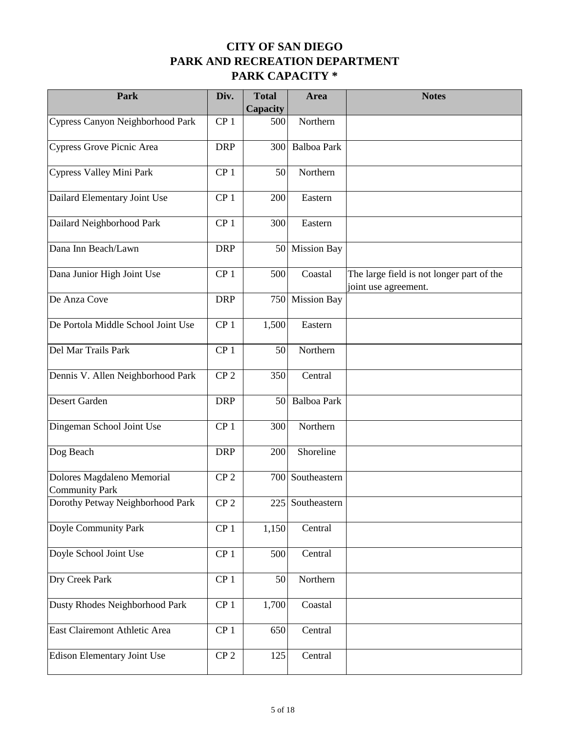| Park                                                | Div.            | <b>Total</b><br>Capacity | Area               | <b>Notes</b>                                                      |
|-----------------------------------------------------|-----------------|--------------------------|--------------------|-------------------------------------------------------------------|
| Cypress Canyon Neighborhood Park                    | CP <sub>1</sub> | 500                      | Northern           |                                                                   |
| Cypress Grove Picnic Area                           | <b>DRP</b>      | 300                      | <b>Balboa Park</b> |                                                                   |
| Cypress Valley Mini Park                            | CP <sub>1</sub> | 50                       | Northern           |                                                                   |
| Dailard Elementary Joint Use                        | CP <sub>1</sub> | 200                      | Eastern            |                                                                   |
| Dailard Neighborhood Park                           | CP <sub>1</sub> | 300                      | Eastern            |                                                                   |
| Dana Inn Beach/Lawn                                 | <b>DRP</b>      | 50                       | <b>Mission Bay</b> |                                                                   |
| Dana Junior High Joint Use                          | CP <sub>1</sub> | 500                      | Coastal            | The large field is not longer part of the<br>joint use agreement. |
| De Anza Cove                                        | <b>DRP</b>      | 750                      | <b>Mission Bay</b> |                                                                   |
| De Portola Middle School Joint Use                  | CP <sub>1</sub> | 1,500                    | Eastern            |                                                                   |
| Del Mar Trails Park                                 | CP <sub>1</sub> | 50                       | Northern           |                                                                   |
| Dennis V. Allen Neighborhood Park                   | CP <sub>2</sub> | 350                      | Central            |                                                                   |
| Desert Garden                                       | <b>DRP</b>      | 50                       | Balboa Park        |                                                                   |
| Dingeman School Joint Use                           | CP <sub>1</sub> | 300                      | Northern           |                                                                   |
| Dog Beach                                           | <b>DRP</b>      | 200                      | Shoreline          |                                                                   |
| Dolores Magdaleno Memorial<br><b>Community Park</b> | CP <sub>2</sub> |                          | 700 Southeastern   |                                                                   |
| Dorothy Petway Neighborhood Park                    | CP <sub>2</sub> |                          | 225 Southeastern   |                                                                   |
| Doyle Community Park                                | CP <sub>1</sub> | 1,150                    | Central            |                                                                   |
| Doyle School Joint Use                              | CP <sub>1</sub> | 500                      | Central            |                                                                   |
| Dry Creek Park                                      | CP <sub>1</sub> | 50                       | Northern           |                                                                   |
| Dusty Rhodes Neighborhood Park                      | CP <sub>1</sub> | 1,700                    | Coastal            |                                                                   |
| East Clairemont Athletic Area                       | CP <sub>1</sub> | 650                      | Central            |                                                                   |
| Edison Elementary Joint Use                         | CP <sub>2</sub> | 125                      | Central            |                                                                   |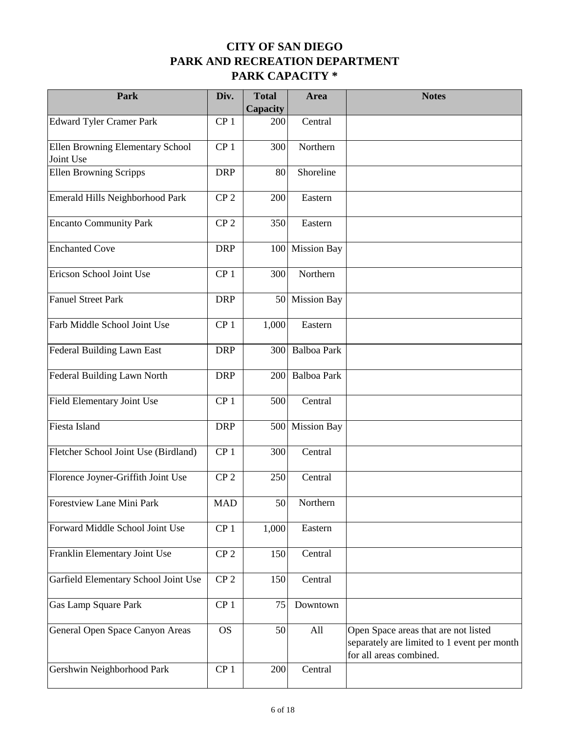| Park                                          | Div.            | <b>Total</b><br>Capacity | Area               | <b>Notes</b>                                                                                                   |
|-----------------------------------------------|-----------------|--------------------------|--------------------|----------------------------------------------------------------------------------------------------------------|
| <b>Edward Tyler Cramer Park</b>               | CP <sub>1</sub> | 200                      | Central            |                                                                                                                |
| Ellen Browning Elementary School<br>Joint Use | CP <sub>1</sub> | 300                      | Northern           |                                                                                                                |
| <b>Ellen Browning Scripps</b>                 | <b>DRP</b>      | 80                       | Shoreline          |                                                                                                                |
| Emerald Hills Neighborhood Park               | CP <sub>2</sub> | 200                      | Eastern            |                                                                                                                |
| <b>Encanto Community Park</b>                 | CP <sub>2</sub> | 350                      | Eastern            |                                                                                                                |
| <b>Enchanted Cove</b>                         | <b>DRP</b>      | 100                      | <b>Mission Bay</b> |                                                                                                                |
| Ericson School Joint Use                      | CP <sub>1</sub> | 300                      | Northern           |                                                                                                                |
| Fanuel Street Park                            | <b>DRP</b>      | 50                       | <b>Mission Bay</b> |                                                                                                                |
| Farb Middle School Joint Use                  | CP <sub>1</sub> | 1,000                    | Eastern            |                                                                                                                |
| Federal Building Lawn East                    | <b>DRP</b>      | 300                      | <b>Balboa Park</b> |                                                                                                                |
| Federal Building Lawn North                   | <b>DRP</b>      | 200                      | <b>Balboa Park</b> |                                                                                                                |
| Field Elementary Joint Use                    | CP <sub>1</sub> | 500                      | Central            |                                                                                                                |
| Fiesta Island                                 | <b>DRP</b>      | 500                      | <b>Mission Bay</b> |                                                                                                                |
| Fletcher School Joint Use (Birdland)          | CP <sub>1</sub> | 300                      | Central            |                                                                                                                |
| Florence Joyner-Griffith Joint Use            | CP <sub>2</sub> | 250                      | Central            |                                                                                                                |
| Forestview Lane Mini Park                     | $\mbox{MAD}$    | 50                       | Northern           |                                                                                                                |
| Forward Middle School Joint Use               | CP <sub>1</sub> | 1,000                    | Eastern            |                                                                                                                |
| Franklin Elementary Joint Use                 | CP <sub>2</sub> | 150                      | Central            |                                                                                                                |
| Garfield Elementary School Joint Use          | CP <sub>2</sub> | 150                      | Central            |                                                                                                                |
| Gas Lamp Square Park                          | CP <sub>1</sub> | 75                       | Downtown           |                                                                                                                |
| General Open Space Canyon Areas               | <b>OS</b>       | 50                       | All                | Open Space areas that are not listed<br>separately are limited to 1 event per month<br>for all areas combined. |
| Gershwin Neighborhood Park                    | CP <sub>1</sub> | 200                      | Central            |                                                                                                                |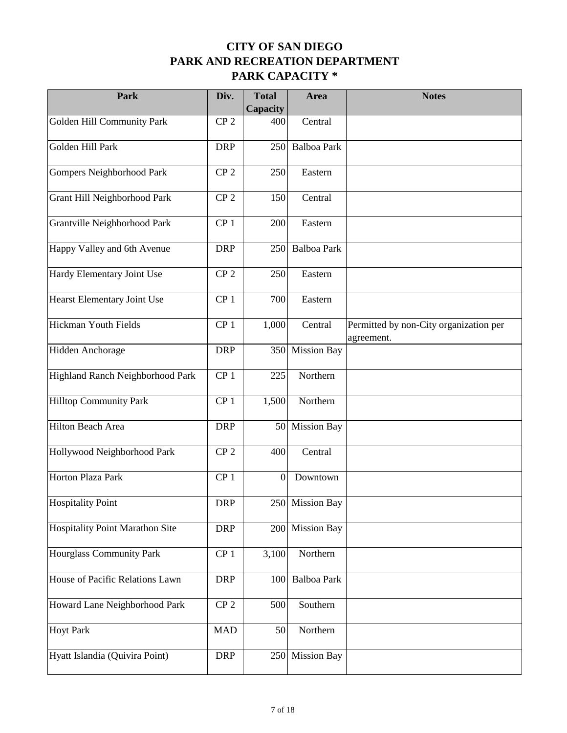| Park                                   | Div.            | <b>Total</b><br>Capacity | Area               | <b>Notes</b>                                         |
|----------------------------------------|-----------------|--------------------------|--------------------|------------------------------------------------------|
| Golden Hill Community Park             | CP <sub>2</sub> | 400                      | Central            |                                                      |
| Golden Hill Park                       | <b>DRP</b>      | 250                      | <b>Balboa Park</b> |                                                      |
| Gompers Neighborhood Park              | CP <sub>2</sub> | 250                      | Eastern            |                                                      |
| Grant Hill Neighborhood Park           | CP <sub>2</sub> | 150                      | Central            |                                                      |
| Grantville Neighborhood Park           | CP <sub>1</sub> | 200                      | Eastern            |                                                      |
| Happy Valley and 6th Avenue            | <b>DRP</b>      | 250                      | Balboa Park        |                                                      |
| Hardy Elementary Joint Use             | CP <sub>2</sub> | 250                      | Eastern            |                                                      |
| Hearst Elementary Joint Use            | CP <sub>1</sub> | 700                      | Eastern            |                                                      |
| Hickman Youth Fields                   | CP <sub>1</sub> | 1,000                    | Central            | Permitted by non-City organization per<br>agreement. |
| Hidden Anchorage                       | <b>DRP</b>      | 350                      | <b>Mission Bay</b> |                                                      |
| Highland Ranch Neighborhood Park       | CP <sub>1</sub> | 225                      | Northern           |                                                      |
| <b>Hilltop Community Park</b>          | CP <sub>1</sub> | 1,500                    | Northern           |                                                      |
| Hilton Beach Area                      | <b>DRP</b>      | 50                       | <b>Mission Bay</b> |                                                      |
| Hollywood Neighborhood Park            | CP <sub>2</sub> | 400                      | Central            |                                                      |
| Horton Plaza Park                      | CP <sub>1</sub> | $\mathbf{0}$             | Downtown           |                                                      |
| <b>Hospitality Point</b>               | <b>DRP</b>      |                          | 250 Mission Bay    |                                                      |
| <b>Hospitality Point Marathon Site</b> | <b>DRP</b>      | 200                      | <b>Mission Bay</b> |                                                      |
| Hourglass Community Park               | CP <sub>1</sub> | 3,100                    | Northern           |                                                      |
| House of Pacific Relations Lawn        | <b>DRP</b>      | 100                      | Balboa Park        |                                                      |
| Howard Lane Neighborhood Park          | CP <sub>2</sub> | 500                      | Southern           |                                                      |
| <b>Hoyt Park</b>                       | <b>MAD</b>      | 50                       | Northern           |                                                      |
| Hyatt Islandia (Quivira Point)         | <b>DRP</b>      | 250                      | <b>Mission Bay</b> |                                                      |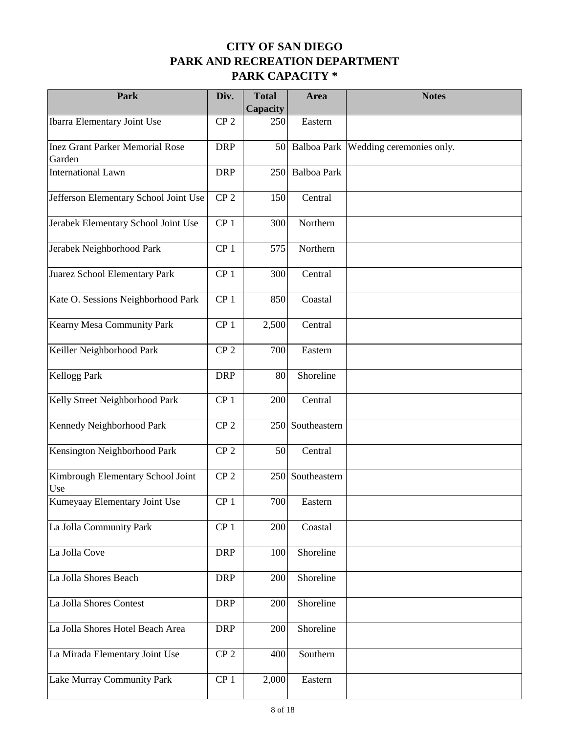| Park                                             | Div.            | <b>Total</b><br>Capacity | Area               | <b>Notes</b>             |
|--------------------------------------------------|-----------------|--------------------------|--------------------|--------------------------|
| <b>Ibarra Elementary Joint Use</b>               | CP <sub>2</sub> | 250                      | Eastern            |                          |
| <b>Inez Grant Parker Memorial Rose</b><br>Garden | <b>DRP</b>      | 50                       | Balboa Park        | Wedding ceremonies only. |
| <b>International Lawn</b>                        | <b>DRP</b>      | 250                      | <b>Balboa Park</b> |                          |
| Jefferson Elementary School Joint Use            | CP <sub>2</sub> | 150                      | Central            |                          |
| Jerabek Elementary School Joint Use              | CP <sub>1</sub> | 300                      | Northern           |                          |
| Jerabek Neighborhood Park                        | CP <sub>1</sub> | 575                      | Northern           |                          |
| Juarez School Elementary Park                    | CP <sub>1</sub> | 300                      | Central            |                          |
| Kate O. Sessions Neighborhood Park               | CP <sub>1</sub> | 850                      | Coastal            |                          |
| Kearny Mesa Community Park                       | CP <sub>1</sub> | 2,500                    | Central            |                          |
| Keiller Neighborhood Park                        | CP <sub>2</sub> | 700                      | Eastern            |                          |
| <b>Kellogg Park</b>                              | <b>DRP</b>      | 80                       | Shoreline          |                          |
| Kelly Street Neighborhood Park                   | CP <sub>1</sub> | 200                      | Central            |                          |
| Kennedy Neighborhood Park                        | CP <sub>2</sub> | 250                      | Southeastern       |                          |
| Kensington Neighborhood Park                     | CP <sub>2</sub> | 50                       | Central            |                          |
| Kimbrough Elementary School Joint<br>Use         | CP <sub>2</sub> | 250                      | Southeastern       |                          |
| Kumeyaay Elementary Joint Use                    | CP <sub>1</sub> | 700                      | Eastern            |                          |
| La Jolla Community Park                          | CP <sub>1</sub> | 200                      | Coastal            |                          |
| La Jolla Cove                                    | <b>DRP</b>      | 100                      | Shoreline          |                          |
| La Jolla Shores Beach                            | <b>DRP</b>      | 200                      | Shoreline          |                          |
| La Jolla Shores Contest                          | <b>DRP</b>      | 200                      | Shoreline          |                          |
| La Jolla Shores Hotel Beach Area                 | <b>DRP</b>      | 200                      | Shoreline          |                          |
| La Mirada Elementary Joint Use                   | CP <sub>2</sub> | 400                      | Southern           |                          |
| Lake Murray Community Park                       | CP <sub>1</sub> | 2,000                    | Eastern            |                          |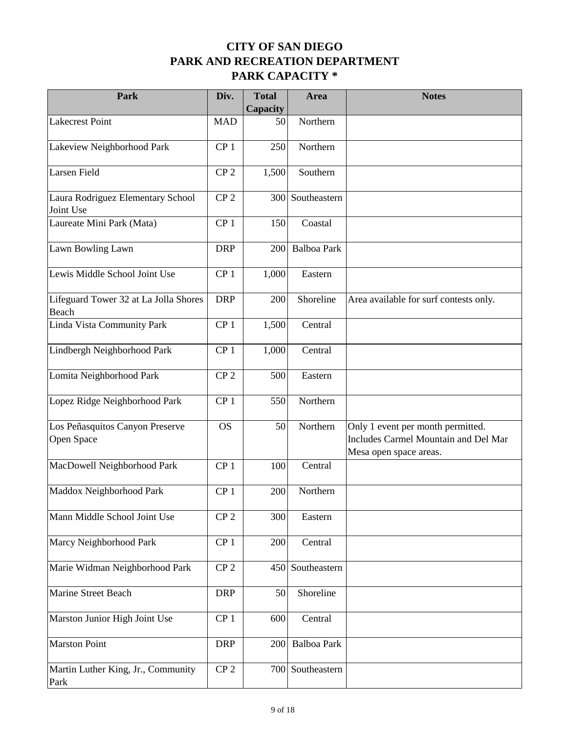| Park                                           | Div.            | <b>Total</b><br>Capacity | Area               | <b>Notes</b>                                                                                        |
|------------------------------------------------|-----------------|--------------------------|--------------------|-----------------------------------------------------------------------------------------------------|
| Lakecrest Point                                | <b>MAD</b>      | 50                       | Northern           |                                                                                                     |
| Lakeview Neighborhood Park                     | CP <sub>1</sub> | 250                      | Northern           |                                                                                                     |
| Larsen Field                                   | CP <sub>2</sub> | 1,500                    | Southern           |                                                                                                     |
| Laura Rodriguez Elementary School<br>Joint Use | CP <sub>2</sub> | 300                      | Southeastern       |                                                                                                     |
| Laureate Mini Park (Mata)                      | CP <sub>1</sub> | 150                      | Coastal            |                                                                                                     |
| Lawn Bowling Lawn                              | <b>DRP</b>      | 200                      | <b>Balboa Park</b> |                                                                                                     |
| Lewis Middle School Joint Use                  | CP <sub>1</sub> | 1,000                    | Eastern            |                                                                                                     |
| Lifeguard Tower 32 at La Jolla Shores<br>Beach | <b>DRP</b>      | 200                      | Shoreline          | Area available for surf contests only.                                                              |
| Linda Vista Community Park                     | CP <sub>1</sub> | 1,500                    | Central            |                                                                                                     |
| Lindbergh Neighborhood Park                    | CP <sub>1</sub> | 1,000                    | Central            |                                                                                                     |
| Lomita Neighborhood Park                       | CP <sub>2</sub> | 500                      | Eastern            |                                                                                                     |
| Lopez Ridge Neighborhood Park                  | CP <sub>1</sub> | 550                      | Northern           |                                                                                                     |
| Los Peñasquitos Canyon Preserve<br>Open Space  | <b>OS</b>       | 50                       | Northern           | Only 1 event per month permitted.<br>Includes Carmel Mountain and Del Mar<br>Mesa open space areas. |
| MacDowell Neighborhood Park                    | CP <sub>1</sub> | 100                      | Central            |                                                                                                     |
| Maddox Neighborhood Park                       | CP <sub>1</sub> | 200                      | Northern           |                                                                                                     |
| Mann Middle School Joint Use                   | CP <sub>2</sub> | 300                      | Eastern            |                                                                                                     |
| Marcy Neighborhood Park                        | CP <sub>1</sub> | 200                      | Central            |                                                                                                     |
| Marie Widman Neighborhood Park                 | CP <sub>2</sub> | 450                      | Southeastern       |                                                                                                     |
| Marine Street Beach                            | <b>DRP</b>      | 50                       | Shoreline          |                                                                                                     |
| Marston Junior High Joint Use                  | CP <sub>1</sub> | 600                      | Central            |                                                                                                     |
| <b>Marston Point</b>                           | <b>DRP</b>      | 200                      | <b>Balboa Park</b> |                                                                                                     |
| Martin Luther King, Jr., Community<br>Park     | CP <sub>2</sub> | 700                      | Southeastern       |                                                                                                     |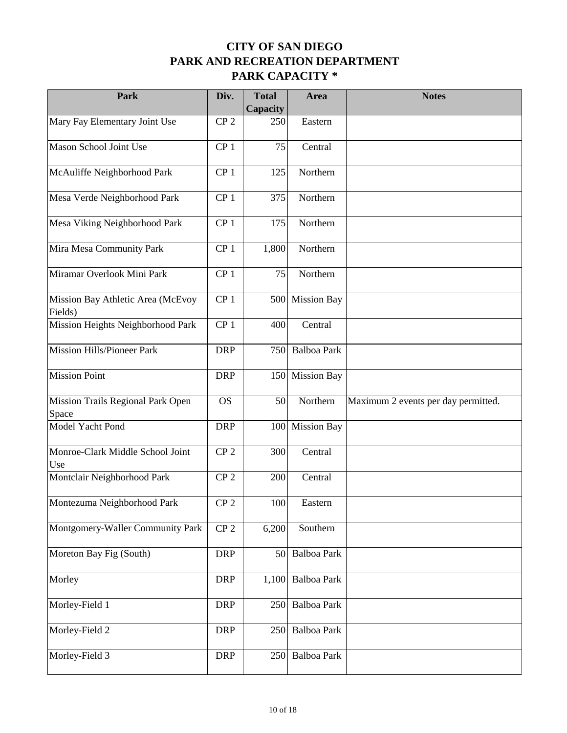| Park                                         | Div.            | <b>Total</b><br>Capacity | Area               | <b>Notes</b>                        |
|----------------------------------------------|-----------------|--------------------------|--------------------|-------------------------------------|
| Mary Fay Elementary Joint Use                | CP <sub>2</sub> | 250                      | Eastern            |                                     |
| Mason School Joint Use                       | CP <sub>1</sub> | 75                       | Central            |                                     |
| McAuliffe Neighborhood Park                  | CP <sub>1</sub> | 125                      | Northern           |                                     |
| Mesa Verde Neighborhood Park                 | CP <sub>1</sub> | 375                      | Northern           |                                     |
| Mesa Viking Neighborhood Park                | CP <sub>1</sub> | 175                      | Northern           |                                     |
| Mira Mesa Community Park                     | CP <sub>1</sub> | 1,800                    | Northern           |                                     |
| Miramar Overlook Mini Park                   | CP <sub>1</sub> | 75                       | Northern           |                                     |
| Mission Bay Athletic Area (McEvoy<br>Fields) | CP <sub>1</sub> | 500                      | <b>Mission Bay</b> |                                     |
| Mission Heights Neighborhood Park            | CP <sub>1</sub> | 400                      | Central            |                                     |
| Mission Hills/Pioneer Park                   | <b>DRP</b>      | 750                      | <b>Balboa Park</b> |                                     |
| <b>Mission Point</b>                         | <b>DRP</b>      | 150                      | <b>Mission Bay</b> |                                     |
| Mission Trails Regional Park Open<br>Space   | <b>OS</b>       | 50                       | Northern           | Maximum 2 events per day permitted. |
| Model Yacht Pond                             | <b>DRP</b>      | 100                      | <b>Mission Bay</b> |                                     |
| Monroe-Clark Middle School Joint<br>Use      | CP <sub>2</sub> | 300                      | Central            |                                     |
| Montclair Neighborhood Park                  | CP <sub>2</sub> | 200                      | Central            |                                     |
| Montezuma Neighborhood Park                  | CP <sub>2</sub> | 100                      | Eastern            |                                     |
| Montgomery-Waller Community Park             | CP <sub>2</sub> | 6,200                    | Southern           |                                     |
| Moreton Bay Fig (South)                      | <b>DRP</b>      | 50                       | Balboa Park        |                                     |
| Morley                                       | <b>DRP</b>      | 1,100                    | Balboa Park        |                                     |
| Morley-Field 1                               | <b>DRP</b>      | 250                      | Balboa Park        |                                     |
| Morley-Field 2                               | <b>DRP</b>      | 250                      | Balboa Park        |                                     |
| Morley-Field 3                               | <b>DRP</b>      | 250                      | Balboa Park        |                                     |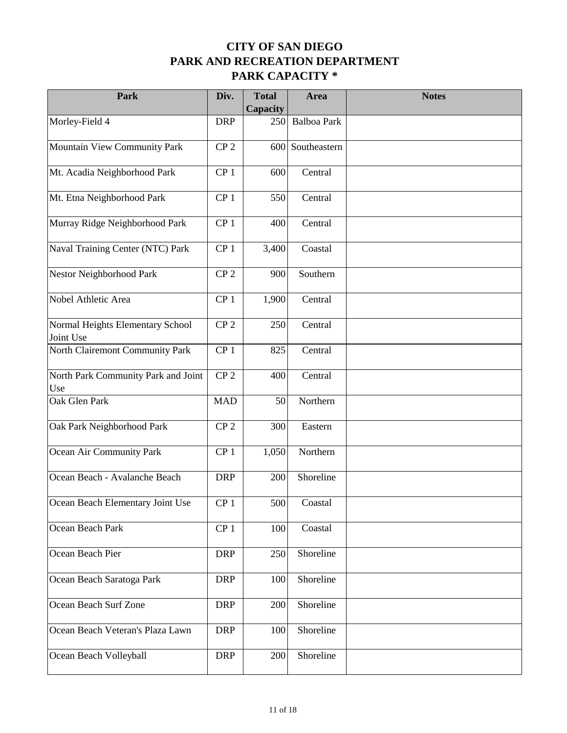| Park                                          | Div.            | <b>Total</b><br>Capacity | Area               | <b>Notes</b> |
|-----------------------------------------------|-----------------|--------------------------|--------------------|--------------|
| Morley-Field 4                                | <b>DRP</b>      | 250                      | <b>Balboa Park</b> |              |
| Mountain View Community Park                  | CP <sub>2</sub> |                          | 600 Southeastern   |              |
| Mt. Acadia Neighborhood Park                  | CP <sub>1</sub> | 600                      | Central            |              |
| Mt. Etna Neighborhood Park                    | CP <sub>1</sub> | 550                      | Central            |              |
| Murray Ridge Neighborhood Park                | CP <sub>1</sub> | 400                      | Central            |              |
| Naval Training Center (NTC) Park              | CP <sub>1</sub> | 3,400                    | Coastal            |              |
| Nestor Neighborhood Park                      | CP <sub>2</sub> | 900                      | Southern           |              |
| Nobel Athletic Area                           | CP <sub>1</sub> | 1,900                    | Central            |              |
| Normal Heights Elementary School<br>Joint Use | CP <sub>2</sub> | 250                      | Central            |              |
| North Clairemont Community Park               | CP <sub>1</sub> | 825                      | Central            |              |
| North Park Community Park and Joint<br>Use    | CP <sub>2</sub> | 400                      | Central            |              |
| Oak Glen Park                                 | <b>MAD</b>      | 50                       | Northern           |              |
| Oak Park Neighborhood Park                    | CP <sub>2</sub> | 300                      | Eastern            |              |
| Ocean Air Community Park                      | CP <sub>1</sub> | 1,050                    | Northern           |              |
| Ocean Beach - Avalanche Beach                 | <b>DRP</b>      | 200                      | Shoreline          |              |
| Ocean Beach Elementary Joint Use              | CP <sub>1</sub> | 500                      | Coastal            |              |
| Ocean Beach Park                              | CP <sub>1</sub> | 100                      | Coastal            |              |
| Ocean Beach Pier                              | <b>DRP</b>      | 250                      | Shoreline          |              |
| Ocean Beach Saratoga Park                     | <b>DRP</b>      | 100                      | Shoreline          |              |
| Ocean Beach Surf Zone                         | <b>DRP</b>      | 200                      | Shoreline          |              |
| Ocean Beach Veteran's Plaza Lawn              | <b>DRP</b>      | 100                      | Shoreline          |              |
| Ocean Beach Volleyball                        | <b>DRP</b>      | 200                      | Shoreline          |              |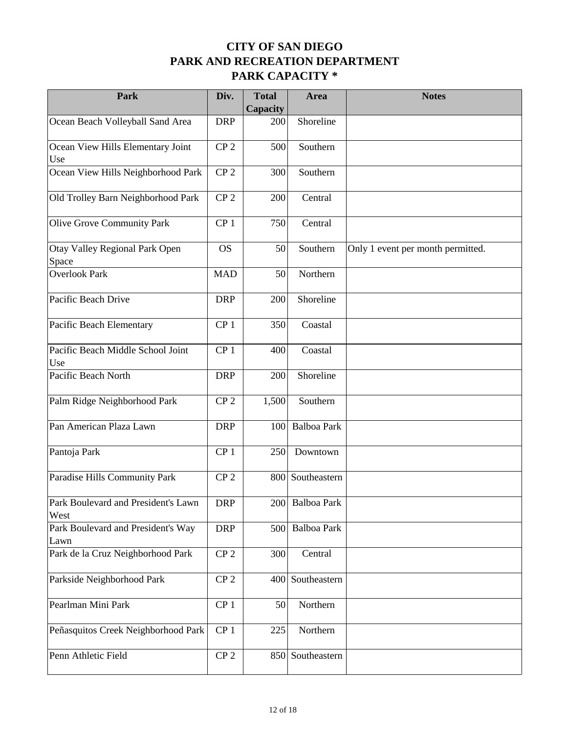| Park                                        | Div.            | <b>Total</b><br>Capacity | Area               | <b>Notes</b>                      |
|---------------------------------------------|-----------------|--------------------------|--------------------|-----------------------------------|
| Ocean Beach Volleyball Sand Area            | <b>DRP</b>      | 200                      | Shoreline          |                                   |
| Ocean View Hills Elementary Joint<br>Use    | CP <sub>2</sub> | 500                      | Southern           |                                   |
| Ocean View Hills Neighborhood Park          | CP <sub>2</sub> | 300                      | Southern           |                                   |
| Old Trolley Barn Neighborhood Park          | CP <sub>2</sub> | 200                      | Central            |                                   |
| Olive Grove Community Park                  | CP <sub>1</sub> | 750                      | Central            |                                   |
| Otay Valley Regional Park Open<br>Space     | <b>OS</b>       | 50                       | Southern           | Only 1 event per month permitted. |
| Overlook Park                               | <b>MAD</b>      | 50                       | Northern           |                                   |
| Pacific Beach Drive                         | <b>DRP</b>      | 200                      | Shoreline          |                                   |
| Pacific Beach Elementary                    | CP <sub>1</sub> | 350                      | Coastal            |                                   |
| Pacific Beach Middle School Joint<br>Use    | CP <sub>1</sub> | 400                      | Coastal            |                                   |
| Pacific Beach North                         | <b>DRP</b>      | 200                      | Shoreline          |                                   |
| Palm Ridge Neighborhood Park                | CP <sub>2</sub> | 1,500                    | Southern           |                                   |
| Pan American Plaza Lawn                     | <b>DRP</b>      | 100                      | <b>Balboa Park</b> |                                   |
| Pantoja Park                                | CP <sub>1</sub> | 250                      | Downtown           |                                   |
| Paradise Hills Community Park               | CP <sub>2</sub> |                          | 800 Southeastern   |                                   |
| Park Boulevard and President's Lawn<br>West | <b>DRP</b>      |                          | 200 Balboa Park    |                                   |
| Park Boulevard and President's Way<br>Lawn  | <b>DRP</b>      | 500                      | Balboa Park        |                                   |
| Park de la Cruz Neighborhood Park           | CP <sub>2</sub> | 300                      | Central            |                                   |
| Parkside Neighborhood Park                  | CP <sub>2</sub> | 400                      | Southeastern       |                                   |
| Pearlman Mini Park                          | CP <sub>1</sub> | 50                       | Northern           |                                   |
| Peñasquitos Creek Neighborhood Park         | CP <sub>1</sub> | 225                      | Northern           |                                   |
| Penn Athletic Field                         | CP <sub>2</sub> | 850                      | Southeastern       |                                   |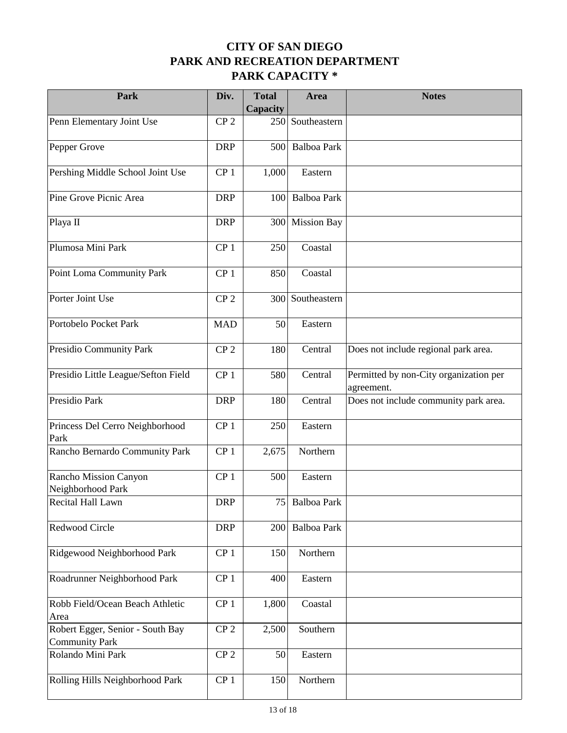| Park                                                      | Div.            | <b>Total</b><br>Capacity | Area               | <b>Notes</b>                                         |
|-----------------------------------------------------------|-----------------|--------------------------|--------------------|------------------------------------------------------|
| Penn Elementary Joint Use                                 | CP <sub>2</sub> | 250                      | Southeastern       |                                                      |
| Pepper Grove                                              | <b>DRP</b>      | 500                      | <b>Balboa Park</b> |                                                      |
| Pershing Middle School Joint Use                          | CP <sub>1</sub> | 1,000                    | Eastern            |                                                      |
| Pine Grove Picnic Area                                    | <b>DRP</b>      | 100                      | <b>Balboa Park</b> |                                                      |
| Playa II                                                  | <b>DRP</b>      | 300                      | <b>Mission Bay</b> |                                                      |
| Plumosa Mini Park                                         | CP <sub>1</sub> | 250                      | Coastal            |                                                      |
| Point Loma Community Park                                 | CP <sub>1</sub> | 850                      | Coastal            |                                                      |
| Porter Joint Use                                          | CP <sub>2</sub> | 300                      | Southeastern       |                                                      |
| Portobelo Pocket Park                                     | <b>MAD</b>      | 50                       | Eastern            |                                                      |
| Presidio Community Park                                   | CP <sub>2</sub> | 180                      | Central            | Does not include regional park area.                 |
| Presidio Little League/Sefton Field                       | CP <sub>1</sub> | 580                      | Central            | Permitted by non-City organization per<br>agreement. |
| Presidio Park                                             | <b>DRP</b>      | 180                      | Central            | Does not include community park area.                |
| Princess Del Cerro Neighborhood<br>Park                   | CP <sub>1</sub> | 250                      | Eastern            |                                                      |
| Rancho Bernardo Community Park                            | CP <sub>1</sub> | 2,675                    | Northern           |                                                      |
| Rancho Mission Canyon<br>Neighborhood Park                | CP <sub>1</sub> | 500                      | Eastern            |                                                      |
| Recital Hall Lawn                                         | <b>DRP</b>      |                          | 75 Balboa Park     |                                                      |
| Redwood Circle                                            | <b>DRP</b>      | 200                      | Balboa Park        |                                                      |
| Ridgewood Neighborhood Park                               | CP <sub>1</sub> | 150                      | Northern           |                                                      |
| Roadrunner Neighborhood Park                              | CP <sub>1</sub> | 400                      | Eastern            |                                                      |
| Robb Field/Ocean Beach Athletic<br>Area                   | CP <sub>1</sub> | 1,800                    | Coastal            |                                                      |
| Robert Egger, Senior - South Bay<br><b>Community Park</b> | CP <sub>2</sub> | 2,500                    | Southern           |                                                      |
| Rolando Mini Park                                         | CP <sub>2</sub> | 50                       | Eastern            |                                                      |
| Rolling Hills Neighborhood Park                           | CP <sub>1</sub> | 150                      | Northern           |                                                      |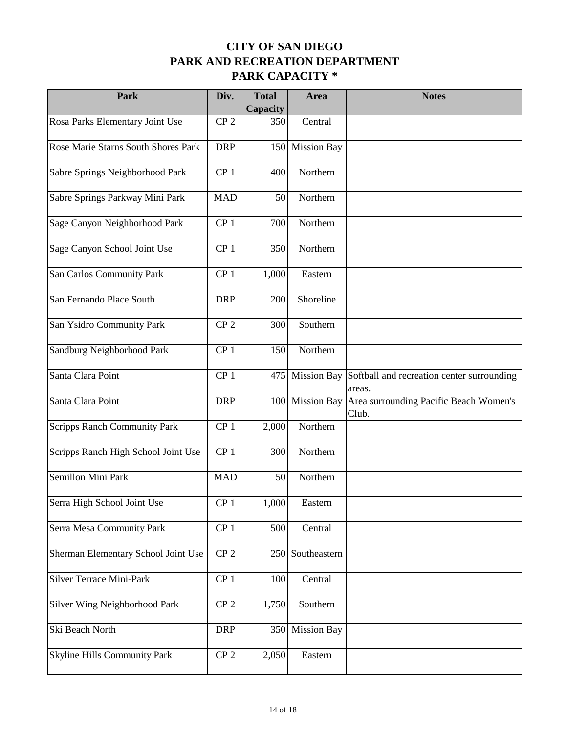| Park                                | Div.            | <b>Total</b><br>Capacity | Area               | <b>Notes</b>                                         |
|-------------------------------------|-----------------|--------------------------|--------------------|------------------------------------------------------|
| Rosa Parks Elementary Joint Use     | CP <sub>2</sub> | 350                      | Central            |                                                      |
| Rose Marie Starns South Shores Park | <b>DRP</b>      | 150                      | <b>Mission Bay</b> |                                                      |
| Sabre Springs Neighborhood Park     | CP <sub>1</sub> | 400                      | Northern           |                                                      |
| Sabre Springs Parkway Mini Park     | <b>MAD</b>      | 50                       | Northern           |                                                      |
| Sage Canyon Neighborhood Park       | CP <sub>1</sub> | 700                      | Northern           |                                                      |
| Sage Canyon School Joint Use        | CP <sub>1</sub> | 350                      | Northern           |                                                      |
| San Carlos Community Park           | CP <sub>1</sub> | 1,000                    | Eastern            |                                                      |
| San Fernando Place South            | <b>DRP</b>      | 200                      | Shoreline          |                                                      |
| San Ysidro Community Park           | CP <sub>2</sub> | 300                      | Southern           |                                                      |
| Sandburg Neighborhood Park          | CP <sub>1</sub> | 150                      | Northern           |                                                      |
| Santa Clara Point                   | CP <sub>1</sub> | 475                      | <b>Mission Bay</b> | Softball and recreation center surrounding<br>areas. |
| Santa Clara Point                   | <b>DRP</b>      | 100                      | <b>Mission Bay</b> | Area surrounding Pacific Beach Women's<br>Club.      |
| <b>Scripps Ranch Community Park</b> | CP <sub>1</sub> | 2,000                    | Northern           |                                                      |
| Scripps Ranch High School Joint Use | CP <sub>1</sub> | 300                      | Northern           |                                                      |
| Semillon Mini Park                  | <b>MAD</b>      | 50                       | Northern           |                                                      |
| Serra High School Joint Use         | CP <sub>1</sub> | 1,000                    | Eastern            |                                                      |
| Serra Mesa Community Park           | CP <sub>1</sub> | 500                      | Central            |                                                      |
| Sherman Elementary School Joint Use | CP <sub>2</sub> | 250                      | Southeastern       |                                                      |
| Silver Terrace Mini-Park            | CP <sub>1</sub> | 100                      | Central            |                                                      |
| Silver Wing Neighborhood Park       | CP <sub>2</sub> | 1,750                    | Southern           |                                                      |
| Ski Beach North                     | <b>DRP</b>      | 350                      | <b>Mission Bay</b> |                                                      |
| <b>Skyline Hills Community Park</b> | CP <sub>2</sub> | 2,050                    | Eastern            |                                                      |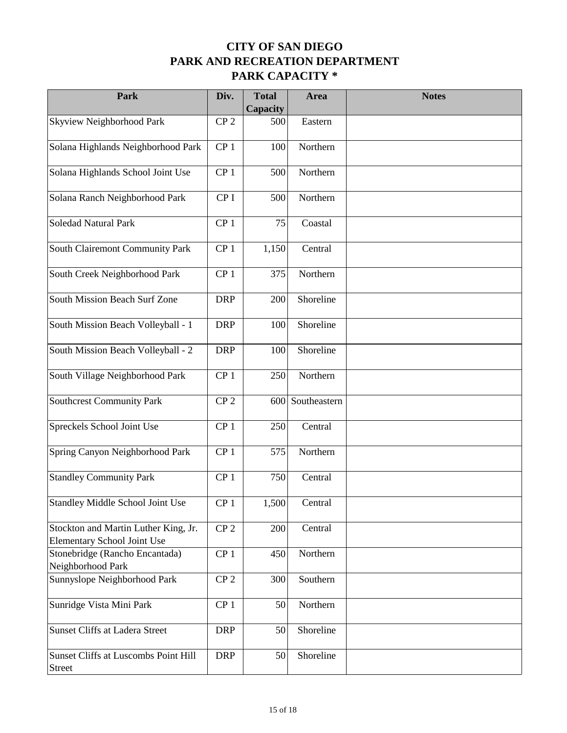| Park                                                                | Div.            | <b>Total</b><br>Capacity | Area         | <b>Notes</b> |
|---------------------------------------------------------------------|-----------------|--------------------------|--------------|--------------|
| Skyview Neighborhood Park                                           | CP <sub>2</sub> | 500                      | Eastern      |              |
| Solana Highlands Neighborhood Park                                  | CP <sub>1</sub> | 100                      | Northern     |              |
| Solana Highlands School Joint Use                                   | CP <sub>1</sub> | 500                      | Northern     |              |
| Solana Ranch Neighborhood Park                                      | CP <sub>I</sub> | 500                      | Northern     |              |
| Soledad Natural Park                                                | CP <sub>1</sub> | 75                       | Coastal      |              |
| South Clairemont Community Park                                     | CP <sub>1</sub> | 1,150                    | Central      |              |
| South Creek Neighborhood Park                                       | CP <sub>1</sub> | 375                      | Northern     |              |
| South Mission Beach Surf Zone                                       | <b>DRP</b>      | 200                      | Shoreline    |              |
| South Mission Beach Volleyball - 1                                  | <b>DRP</b>      | 100                      | Shoreline    |              |
| South Mission Beach Volleyball - 2                                  | <b>DRP</b>      | 100                      | Shoreline    |              |
| South Village Neighborhood Park                                     | CP <sub>1</sub> | 250                      | Northern     |              |
| Southcrest Community Park                                           | CP <sub>2</sub> | 600                      | Southeastern |              |
| Spreckels School Joint Use                                          | CP <sub>1</sub> | 250                      | Central      |              |
| Spring Canyon Neighborhood Park                                     | CP <sub>1</sub> | 575                      | Northern     |              |
| <b>Standley Community Park</b>                                      | CP <sub>1</sub> | 750                      | Central      |              |
| Standley Middle School Joint Use                                    | CP <sub>1</sub> | 1,500                    | Central      |              |
| Stockton and Martin Luther King, Jr.<br>Elementary School Joint Use | CP <sub>2</sub> | 200                      | Central      |              |
| Stonebridge (Rancho Encantada)<br>Neighborhood Park                 | CP <sub>1</sub> | 450                      | Northern     |              |
| Sunnyslope Neighborhood Park                                        | CP <sub>2</sub> | 300                      | Southern     |              |
| Sunridge Vista Mini Park                                            | CP <sub>1</sub> | 50                       | Northern     |              |
| Sunset Cliffs at Ladera Street                                      | <b>DRP</b>      | 50                       | Shoreline    |              |
| Sunset Cliffs at Luscombs Point Hill<br>Street                      | <b>DRP</b>      | 50                       | Shoreline    |              |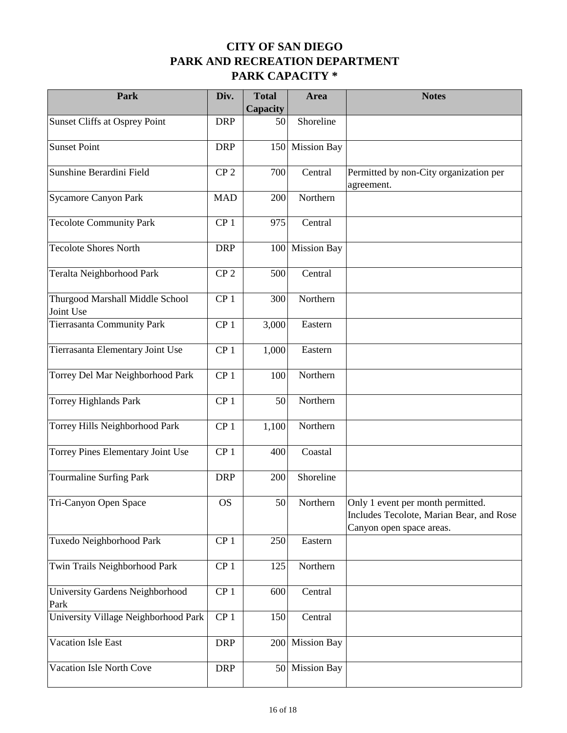| Park                                         | Div.            | <b>Total</b><br>Capacity | Area               | <b>Notes</b>                                                                                              |
|----------------------------------------------|-----------------|--------------------------|--------------------|-----------------------------------------------------------------------------------------------------------|
| Sunset Cliffs at Osprey Point                | <b>DRP</b>      | 50                       | Shoreline          |                                                                                                           |
| Sunset Point                                 | <b>DRP</b>      | 150                      | <b>Mission Bay</b> |                                                                                                           |
| Sunshine Berardini Field                     | CP <sub>2</sub> | 700                      | Central            | Permitted by non-City organization per<br>agreement.                                                      |
| Sycamore Canyon Park                         | <b>MAD</b>      | 200                      | Northern           |                                                                                                           |
| <b>Tecolote Community Park</b>               | CP <sub>1</sub> | 975                      | Central            |                                                                                                           |
| <b>Tecolote Shores North</b>                 | <b>DRP</b>      | 100                      | <b>Mission Bay</b> |                                                                                                           |
| Teralta Neighborhood Park                    | CP <sub>2</sub> | 500                      | Central            |                                                                                                           |
| Thurgood Marshall Middle School<br>Joint Use | CP <sub>1</sub> | 300                      | Northern           |                                                                                                           |
| <b>Tierrasanta Community Park</b>            | CP <sub>1</sub> | 3,000                    | Eastern            |                                                                                                           |
| Tierrasanta Elementary Joint Use             | CP <sub>1</sub> | 1,000                    | Eastern            |                                                                                                           |
| Torrey Del Mar Neighborhood Park             | CP <sub>1</sub> | 100                      | Northern           |                                                                                                           |
| <b>Torrey Highlands Park</b>                 | CP <sub>1</sub> | 50                       | Northern           |                                                                                                           |
| Torrey Hills Neighborhood Park               | CP <sub>1</sub> | 1,100                    | Northern           |                                                                                                           |
| Torrey Pines Elementary Joint Use            | CP <sub>1</sub> | 400                      | Coastal            |                                                                                                           |
| Tourmaline Surfing Park                      | <b>DRP</b>      | 200                      | Shoreline          |                                                                                                           |
| Tri-Canyon Open Space                        | <b>OS</b>       | 50                       | Northern           | Only 1 event per month permitted.<br>Includes Tecolote, Marian Bear, and Rose<br>Canyon open space areas. |
| Tuxedo Neighborhood Park                     | CP <sub>1</sub> | 250                      | Eastern            |                                                                                                           |
| Twin Trails Neighborhood Park                | CP <sub>1</sub> | 125                      | Northern           |                                                                                                           |
| University Gardens Neighborhood<br>Park      | CP <sub>1</sub> | 600                      | Central            |                                                                                                           |
| University Village Neighborhood Park         | CP <sub>1</sub> | 150                      | Central            |                                                                                                           |
| Vacation Isle East                           | <b>DRP</b>      | 200                      | <b>Mission Bay</b> |                                                                                                           |
| Vacation Isle North Cove                     | <b>DRP</b>      | 50                       | <b>Mission Bay</b> |                                                                                                           |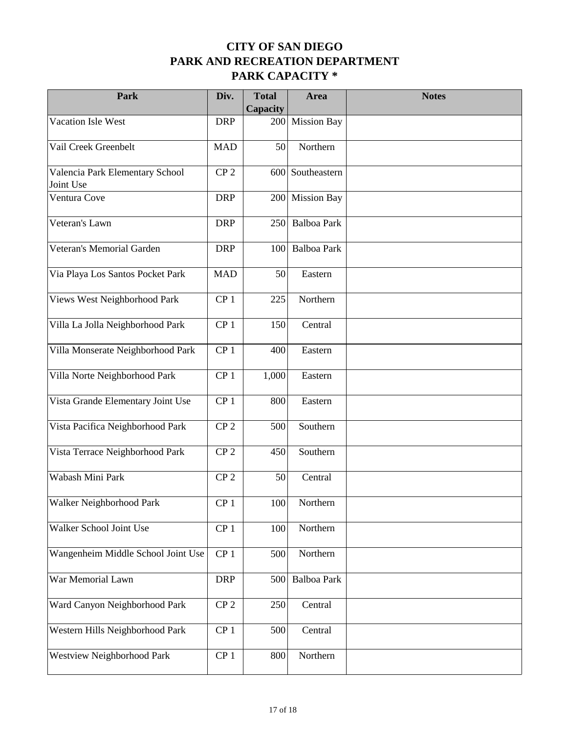| Park                                         | Div.            | <b>Total</b><br>Capacity | Area               | <b>Notes</b> |
|----------------------------------------------|-----------------|--------------------------|--------------------|--------------|
| Vacation Isle West                           | <b>DRP</b>      | 200                      | <b>Mission Bay</b> |              |
| Vail Creek Greenbelt                         | <b>MAD</b>      | 50                       | Northern           |              |
| Valencia Park Elementary School<br>Joint Use | CP <sub>2</sub> |                          | 600 Southeastern   |              |
| Ventura Cove                                 | <b>DRP</b>      | 200                      | <b>Mission Bay</b> |              |
| Veteran's Lawn                               | <b>DRP</b>      | 250                      | Balboa Park        |              |
| Veteran's Memorial Garden                    | <b>DRP</b>      | 100                      | Balboa Park        |              |
| Via Playa Los Santos Pocket Park             | <b>MAD</b>      | 50                       | Eastern            |              |
| Views West Neighborhood Park                 | CP <sub>1</sub> | 225                      | Northern           |              |
| Villa La Jolla Neighborhood Park             | CP <sub>1</sub> | 150                      | Central            |              |
| Villa Monserate Neighborhood Park            | CP <sub>1</sub> | 400                      | Eastern            |              |
| Villa Norte Neighborhood Park                | CP <sub>1</sub> | 1,000                    | Eastern            |              |
| Vista Grande Elementary Joint Use            | CP <sub>1</sub> | 800                      | Eastern            |              |
| Vista Pacifica Neighborhood Park             | CP <sub>2</sub> | 500                      | Southern           |              |
| Vista Terrace Neighborhood Park              | CP <sub>2</sub> | 450                      | Southern           |              |
| Wabash Mini Park                             | CP <sub>2</sub> | 50                       | Central            |              |
| Walker Neighborhood Park                     | CP <sub>1</sub> | 100                      | Northern           |              |
| Walker School Joint Use                      | CP <sub>1</sub> | 100                      | Northern           |              |
| Wangenheim Middle School Joint Use           | CP <sub>1</sub> | 500                      | Northern           |              |
| War Memorial Lawn                            | <b>DRP</b>      | 500                      | Balboa Park        |              |
| Ward Canyon Neighborhood Park                | CP <sub>2</sub> | 250                      | Central            |              |
| Western Hills Neighborhood Park              | CP <sub>1</sub> | 500                      | Central            |              |
| Westview Neighborhood Park                   | CP <sub>1</sub> | 800                      | Northern           |              |